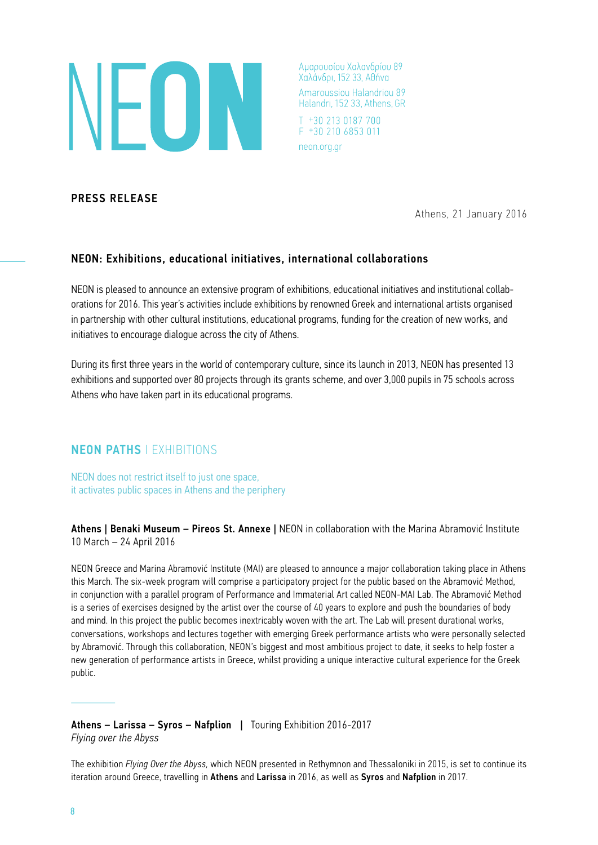

Αμαρουσίου Χαλανδρίου 89 Χαλάνδρι, 152 33, Αθήνα Amaroussiou Halandriou 89 Halandri, 152 33, Athens, GR T +30 213 0187 700 F +30 210 6853 011 neon.org.gr

# PRESS RELEASE

Athens, 21 January 2016

# NEON: Exhibitions, educational initiatives, international collaborations

NEON is pleased to announce an extensive program of exhibitions, educational initiatives and institutional collaborations for 2016. This year's activities include exhibitions by renowned Greek and international artists organised in partnership with other cultural institutions, educational programs, funding for the creation of new works, and initiatives to encourage dialogue across the city of Athens.

During its first three years in the world of contemporary culture, since its launch in 2013, NEON has presented 13 exhibitions and supported over 80 projects through its grants scheme, and over 3,000 pupils in 75 schools across Athens who have taken part in its educational programs.

# **NEON PATHS I EXHIBITIONS**

NEON does not restrict itself to just one space, it activates public spaces in Athens and the periphery

Athens | Benaki Museum – Pireos St. Annexe | NEON in collaboration with the Marina Abramović Institute 10 March – 24 April 2016

NEON Greece and Marina Abramović Institute (MAI) are pleased to announce a major collaboration taking place in Athens this March. The six-week program will comprise a participatory project for the public based on the Abramović Method, in conjunction with a parallel program of Performance and Immaterial Art called NEON-MAI Lab. The Abramović Method is a series of exercises designed by the artist over the course of 40 years to explore and push the boundaries of body and mind. In this project the public becomes inextricably woven with the art. The Lab will present durational works, conversations, workshops and lectures together with emerging Greek performance artists who were personally selected by Abramović. Through this collaboration, NEON's biggest and most ambitious project to date, it seeks to help foster a new generation of performance artists in Greece, whilst providing a unique interactive cultural experience for the Greek public. \_

Athens – Larissa – Syros – Nafplion | Touring Exhibition 2016-2017 *Flying over the Abyss*

The exhibition *Flying Over the Abyss,* which NEON presented in Rethymnon and Thessaloniki in 2015, is set to continue its iteration around Greece, travelling in Athens and Larissa in 2016, as well as Syros and Nafplion in 2017.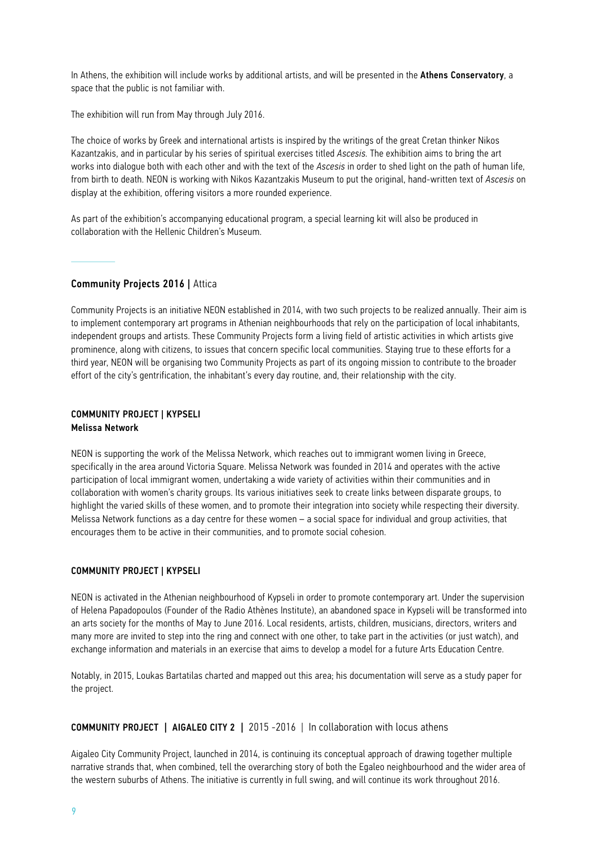In Athens, the exhibition will include works by additional artists, and will be presented in the Athens Conservatory, a space that the public is not familiar with.

The exhibition will run from May through July 2016.

The choice of works by Greek and international artists is inspired by the writings of the great Cretan thinker Nikos Kazantzakis, and in particular by his series of spiritual exercises titled *Ascesis.* The exhibition aims to bring the art works into dialogue both with each other and with the text of the *Ascesis* in order to shed light on the path of human life, from birth to death. NEON is working with Nikos Kazantzakis Museum to put the original, hand-written text of *Ascesis* on display at the exhibition, offering visitors a more rounded experience.

As part of the exhibition's accompanying educational program, a special learning kit will also be produced in collaboration with the Hellenic Children's Museum. display at the<br>As part of the<br>collaboration

## Community Projects 2016 | Attica

Community Projects is an initiative NEON established in 2014, with two such projects to be realized annually. Their aim is to implement contemporary art programs in Athenian neighbourhoods that rely on the participation of local inhabitants, independent groups and artists. These Community Projects form a living field of artistic activities in which artists give prominence, along with citizens, to issues that concern specific local communities. Staying true to these efforts for a third year, NEON will be organising two Community Projects as part of its ongoing mission to contribute to the broader effort of the city's gentrification, the inhabitant's every day routine, and, their relationship with the city.

# COMMUNITY PROJECT | KYPSELI Melissa Network

NEON is supporting the work of the Melissa Network, which reaches out to immigrant women living in Greece, specifically in the area around Victoria Square. Melissa Network was founded in 2014 and operates with the active participation of local immigrant women, undertaking a wide variety of activities within their communities and in collaboration with women's charity groups. Its various initiatives seek to create links between disparate groups, to highlight the varied skills of these women, and to promote their integration into society while respecting their diversity. Melissa Network functions as a day centre for these women – a social space for individual and group activities, that encourages them to be active in their communities, and to promote social cohesion.

## COMMUNITY PROJECT | KYPSELI

NEON is activated in the Athenian neighbourhood of Kypseli in order to promote contemporary art. Under the supervision of Helena Papadopoulos (Founder of the Radio Athènes Institute), an abandoned space in Kypseli will be transformed into an arts society for the months of May to June 2016. Local residents, artists, children, musicians, directors, writers and many more are invited to step into the ring and connect with one other, to take part in the activities (or just watch), and exchange information and materials in an exercise that aims to develop a model for a future Arts Education Centre.

Notably, in 2015, Loukas Bartatilas charted and mapped out this area; his documentation will serve as a study paper for the project.

## COMMUNITY PROJECT | AIGALEO CITY 2 | 2015 -2016 | In collaboration with locus athens

Aigaleo City Community Project, launched in 2014, is continuing its conceptual approach of drawing together multiple narrative strands that, when combined, tell the overarching story of both the Egaleo neighbourhood and the wider area of the western suburbs of Athens. The initiative is currently in full swing, and will continue its work throughout 2016.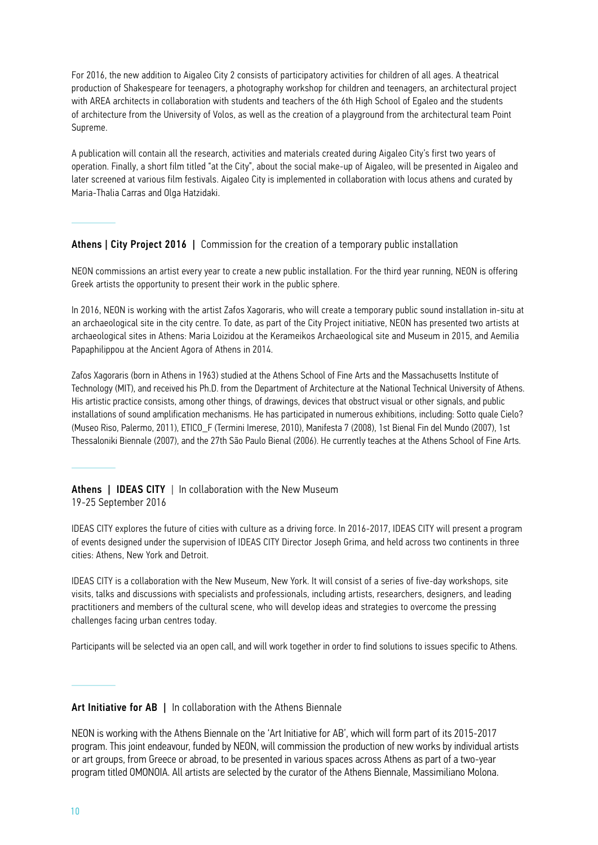For 2016, the new addition to Aigaleo City 2 consists of participatory activities for children of all ages. A theatrical production of Shakespeare for teenagers, a photography workshop for children and teenagers, an architectural project with AREA architects in collaboration with students and teachers of the 6th High School of Egaleo and the students of architecture from the University of Volos, as well as the creation of a playground from the architectural team Point Supreme.

A publication will contain all the research, activities and materials created during Aigaleo City's first two years of operation. Finally, a short film titled "at the City", about the social make-up of Aigaleo, will be presented in Aigaleo and later screened at various film festivals. Aigaleo City is implemented in collaboration with locus athens and curated by Maria-Thalia Carras and Olga Hatzidaki. A publicatio<br>operation. F<br>later screer<br>Maria-Thali<br>————————————————————

Athens | City Project 2016 | Commission for the creation of a temporary public installation

NEON commissions an artist every year to create a new public installation. For the third year running, NEON is offering Greek artists the opportunity to present their work in the public sphere.

In 2016, NEON is working with the artist Zafos Xagoraris, who will create a temporary public sound installation in-situ at an archaeological site in the city centre. To date, as part of the City Project initiative, NEON has presented two artists at archaeological sites in Athens: Maria Loizidou at the Kerameikos Αrchaeological site and Museum in 2015, and Aemilia Papaphilippou at the Ancient Agora of Athens in 2014.

Zafos Xagoraris (born in Athens in 1963) studied at the Athens School of Fine Arts and the Massachusetts Institute of Technology (MIT), and received his Ph.D. from the Department of Architecture at the National Technical University of Athens. His artistic practice consists, among other things, of drawings, devices that obstruct visual or other signals, and public installations of sound amplification mechanisms. He has participated in numerous exhibitions, including: Sotto quale Cielo? (Museo Riso, Palermo, 2011), ETICO\_F (Termini Imerese, 2010), Manifesta 7 (2008), 1st Bienal Fin del Mundo (2007), 1st Thessaloniki Biennale (2007), and the 27th São Paulo Bienal (2006). He currently teaches at the Athens School of Fine Arts. His artistic <sub>I</sub><br>installations<br>(Museo Risc<br>Thessalonik<br>————————————————————

Athens | **IDEAS CITY** | In collaboration with the New Museum 19-25 September 2016

IDEAS CITY explores the future of cities with culture as a driving force. In 2016-2017, IDEAS CITY will present a program of events designed under the supervision of IDEAS CITY Director Joseph Grima, and held across two continents in three cities: Athens, New York and Detroit.

IDEAS CITY is a collaboration with the New Museum, New York. It will consist of a series of five-day workshops, site visits, talks and discussions with specialists and professionals, including artists, researchers, designers, and leading practitioners and members of the cultural scene, who will develop ideas and strategies to overcome the pressing challenges facing urban centres today. \_

Participants will be selected via an open call, and will work together in order to find solutions to issues specific to Athens.

# Art Initiative for AB | In collaboration with the Athens Biennale

NEON is working with the Athens Biennale on the 'Art Initiative for AB', which will form part of its 2015-2017 program. This joint endeavour, funded by NEON, will commission the production of new works by individual artists or art groups, from Greece or abroad, to be presented in various spaces across Athens as part of a two-year program titled OMONOIA. All artists are selected by the curator of the Athens Biennale, Massimiliano Molona.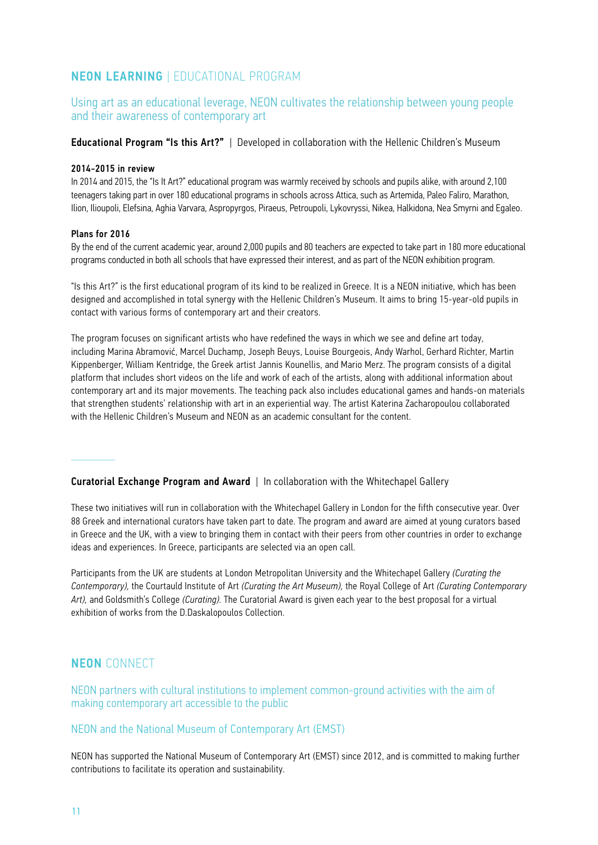# NEON LEARNING | EDUCATIONAL PROGRAM

# Using art as an educational leverage, NEON cultivates the relationship between young people and their awareness of contemporary art

Educational Program "Is this Art?" | Developed in collaboration with the Hellenic Children's Museum

#### 2014-2015 in review

In 2014 and 2015, the "Is It Art?" educational program was warmly received by schools and pupils alike, with around 2,100 teenagers taking part in over 180 educational programs in schools across Attica, such as Artemida, Paleo Faliro, Marathon, Ilion, Ilioupoli, Elefsina, Aghia Varvara, Aspropyrgos, Piraeus, Petroupoli, Lykovryssi, Nikea, Halkidona, Nea Smyrni and Egaleo.

#### Plans for 2016

By the end of the current academic year, around 2,000 pupils and 80 teachers are expected to take part in 180 more educational programs conducted in both all schools that have expressed their interest, and as part of the NEON exhibition program.

"Is this Art?" is the first educational program of its kind to be realized in Greece. It is a NEON initiative, which has been designed and accomplished in total synergy with the Hellenic Children's Museum. It aims to bring 15-year-old pupils in contact with various forms of contemporary art and their creators.

The program focuses on significant artists who have redefined the ways in which we see and define art today, including Marina Abramović, Marcel Duchamp, Joseph Beuys, Louise Bourgeois, Andy Warhol, Gerhard Richter, Martin Kippenberger, William Kentridge, the Greek artist Jannis Kounellis, and Mario Merz. The program consists of a digital platform that includes short videos on the life and work of each of the artists, along with additional information about contemporary art and its major movements. The teaching pack also includes educational games and hands-on materials that strengthen students' relationship with art in an experiential way. The artist Katerina Zacharopoulou collaborated with the Hellenic Children's Museum and NEON as an academic consultant for the content. \_

# Curatorial Exchange Program and Award | In collaboration with the Whitechapel Gallery

These two initiatives will run in collaboration with the Whitechapel Gallery in London for the fifth consecutive year. Over 88 Greek and international curators have taken part to date. The program and award are aimed at young curators based in Greece and the UK, with a view to bringing them in contact with their peers from other countries in order to exchange ideas and experiences. In Greece, participants are selected via an open call.

Participants from the UK are students at London Metropolitan University and the Whitechapel Gallery *(Curating the Contemporary),* the Courtauld Institute of Art *(Curating the Art Museum),* the Royal College of Art *(Curating Contemporary Art),* and Goldsmith's College *(Curating).* The Curatorial Award is given each year to the best proposal for a virtual exhibition of works from the D.Daskalopoulos Collection.

# ΝΕΟΝ CONNECT

NEON partners with cultural institutions to implement common-ground activities with the aim of making contemporary art accessible to the public

# NEON and the National Museum of Contemporary Art (EMST)

NEON has supported the National Museum of Contemporary Art (EMST) since 2012, and is committed to making further contributions to facilitate its operation and sustainability.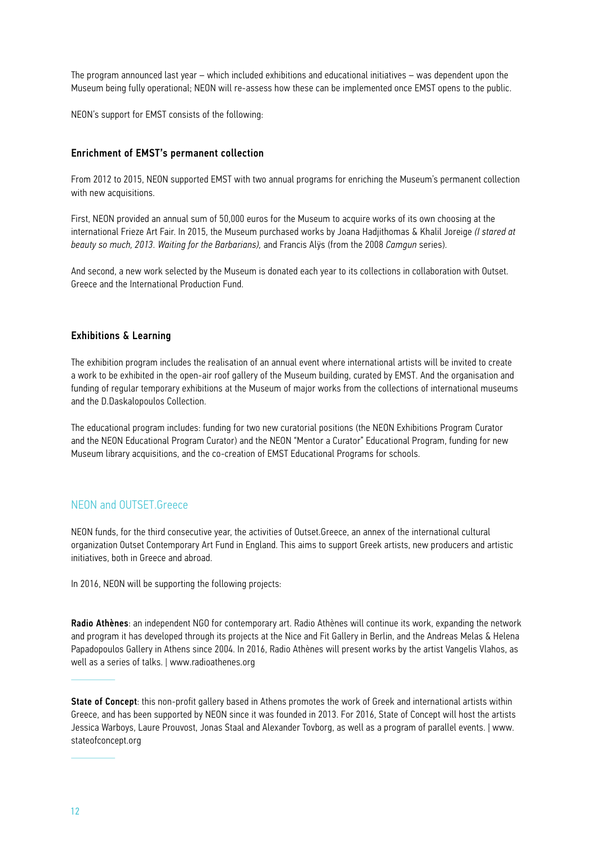The program announced last year – which included exhibitions and educational initiatives – was dependent upon the Museum being fully operational; NEON will re-assess how these can be implemented once EMST opens to the public.

NEON's support for EMST consists of the following:

# Enrichment of EMST's permanent collection

From 2012 to 2015, NEON supported EMST with two annual programs for enriching the Museum's permanent collection with new acquisitions.

First, NEON provided an annual sum of 50,000 euros for the Museum to acquire works of its own choosing at the international Frieze Art Fair. In 2015, the Museum purchased works by Joana Hadjithomas & Khalil Joreige *(Ι stared at beauty so much, 2013. Waiting for the Barbarians),* and Francis Alÿs (from the 2008 *Camgun* series).

And second, a new work selected by the Museum is donated each year to its collections in collaboration with Outset. Greece and the International Production Fund.

## Exhibitions & Learning

The exhibition program includes the realisation of an annual event where international artists will be invited to create a work to be exhibited in the open-air roof gallery of the Museum building, curated by EMST. And the organisation and funding of regular temporary exhibitions at the Museum of major works from the collections of international museums and the D.Daskalopoulos Collection.

The educational program includes: funding for two new curatorial positions (the NEON Exhibitions Program Curator and the NEON Educational Program Curator) and the ΝΕΟΝ "Mentor a Curator" Educational Program, funding for new Museum library acquisitions, and the co-creation of EMST Educational Programs for schools.

# ΝΕΟΝ and OUTSET.Greece

NEON funds, for the third consecutive year, the activities of Outset.Greece, an annex of the international cultural organization Outset Contemporary Art Fund in England. This aims to support Greek artists, new producers and artistic initiatives, both in Greece and abroad.

In 2016, NEON will be supporting the following projects:

Radio Athènes: an independent NGO for contemporary art. Radio Athènes will continue its work, expanding the network and program it has developed through its projects at the Nice and Fit Gallery in Berlin, and the Andreas Melas & Helena Papadopoulos Gallery in Athens since 2004. In 2016, Radio Athènes will present works by the artist Vangelis Vlahos, as well as a series of talks. | www.radioathenes.org \_

State of Concept: this non-profit gallery based in Athens promotes the work of Greek and international artists within Greece, and has been supported by NEON since it was founded in 2013. For 2016, State of Concept will host the artists Jessica Warboys, Laure Prouvost, Jonas Staal and Alexander Tovborg, as well as a program of parallel events. | www. stateofconcept.org \_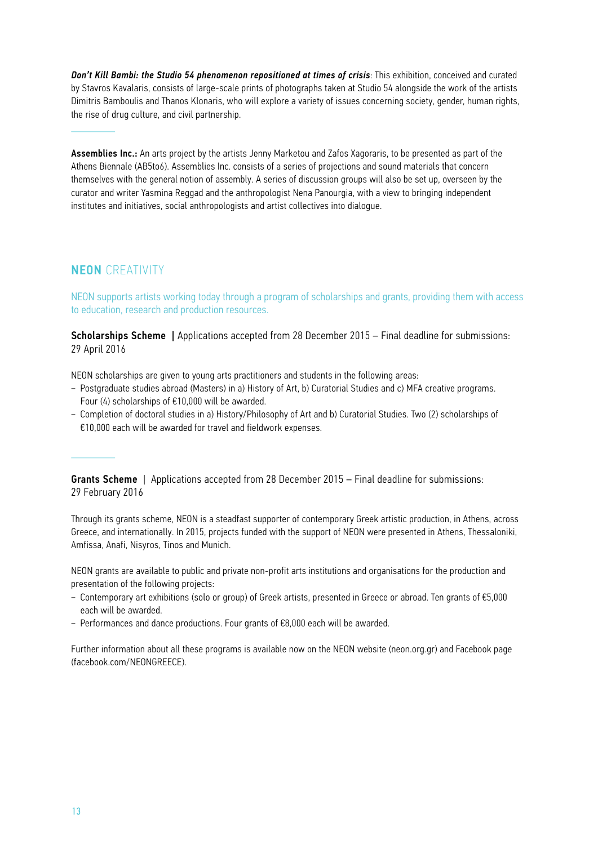*Don't Kill Bambi: the Studio 54 phenomenon repositioned at times of crisis*: This exhibition, conceived and curated by Stavros Kavalaris, consists of large-scale prints of photographs taken at Studio 54 alongside the work of the artists Dimitris Bamboulis and Thanos Klonaris, who will explore a variety of issues concerning society, gender, human rights, the rise of drug culture, and civil partnership. **Don't Kill E**<br>by Stavros I<br>Dimitris Bar<br>the rise of d

Assemblies Inc.: An arts project by the artists Jenny Marketou and Zafos Xagoraris, to be presented as part of the Athens Biennale (AB5to6). Assemblies Inc. consists of a series of projections and sound materials that concern themselves with the general notion of assembly. A series of discussion groups will also be set up, overseen by the curator and writer Yasmina Reggad and the anthropologist Nena Panourgia, with a view to bringing independent institutes and initiatives, social anthropologists and artist collectives into dialogue.

# NEON CREATIVITY

NEON supports artists working today through a program of scholarships and grants, providing them with access to education, research and production resources.

Scholarships Scheme | Applications accepted from 28 December 2015 – Final deadline for submissions: 29 April 2016

NEON scholarships are given to young arts practitioners and students in the following areas:

- − Postgraduate studies abroad (Masters) in a) History of Art, b) Curatorial Studies and c) MFA creative programs. Four (4) scholarships of €10,000 will be awarded.
- − Completion of doctoral studies in a) History/Philosophy of Art and b) Curatorial Studies. Two (2) scholarships of €10,000 each will be awarded for travel and fieldwork expenses.  $-$  Postgradi<br>Four (4) s<br> $-$  Completio<br> $\epsilon$ 10,000  $\epsilon$

Grants Scheme | Applications accepted from 28 December 2015 – Final deadline for submissions: 29 February 2016

Through its grants scheme, NEON is a steadfast supporter of contemporary Greek artistic production, in Athens, across Greece, and internationally. In 2015, projects funded with the support of NEON were presented in Athens, Thessaloniki, Amfissa, Anafi, Nisyros, Tinos and Munich.

NEON grants are available to public and private non-profit arts institutions and organisations for the production and presentation of the following projects:

- − Contemporary art exhibitions (solo or group) of Greek artists, presented in Greece or abroad. Ten grants of €5,000 each will be awarded.
- − Performances and dance productions. Four grants of €8,000 each will be awarded.

Further information about all these programs is available now on the NEON website (neon.org.gr) and Facebook page (facebook.com/NEONGREECE).